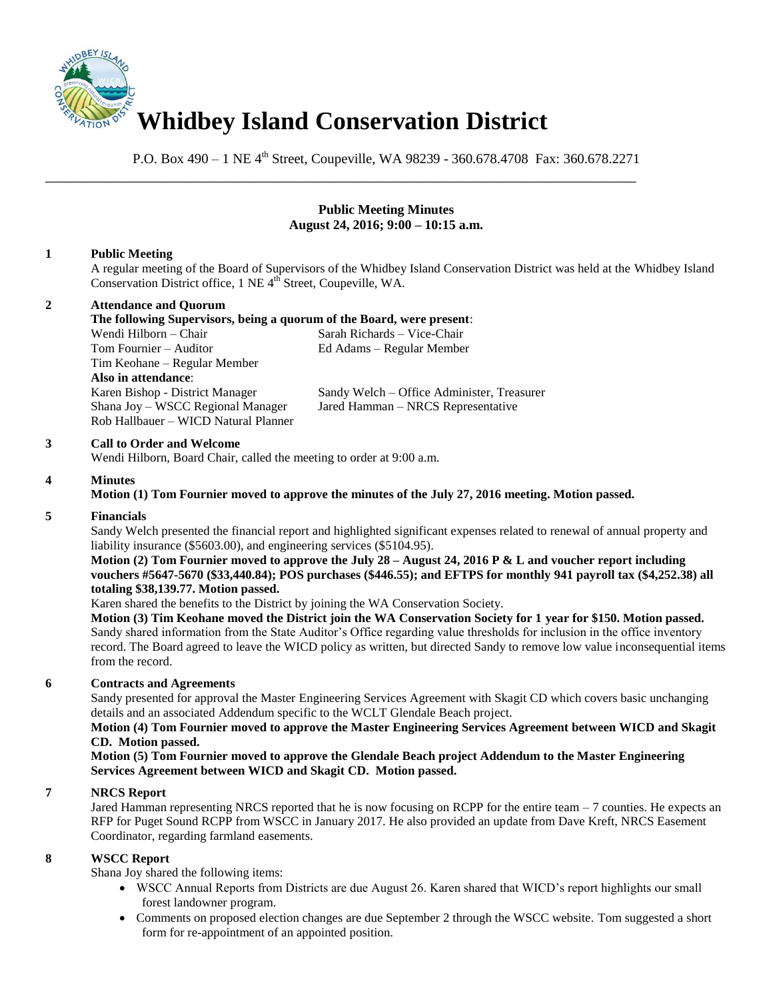

P.O. Box 490 – 1 NE 4<sup>th</sup> Street, Coupeville, WA 98239 - 360.678.4708 Fax: 360.678.2271

\_\_\_\_\_\_\_\_\_\_\_\_\_\_\_\_\_\_\_\_\_\_\_\_\_\_\_\_\_\_\_\_\_\_\_\_\_\_\_\_\_\_\_\_\_\_\_\_\_\_\_\_\_\_\_\_\_\_\_\_\_\_\_\_\_\_\_\_\_\_\_\_\_\_\_\_\_\_

## **Public Meeting Minutes August 24, 2016; 9:00 – 10:15 a.m.**

# **1 Public Meeting**

A regular meeting of the Board of Supervisors of the Whidbey Island Conservation District was held at the Whidbey Island Conservation District office, 1 NE 4<sup>th</sup> Street, Coupeville, WA.

# **2 Attendance and Quorum**

**The following Supervisors, being a quorum of the Board, were present**: Wendi Hilborn – Chair Sarah Richards – Vice-Chair Tom Fournier – Auditor Ed Adams – Regular Member Tim Keohane – Regular Member **Also in attendance**: Rob Hallbauer – WICD Natural Planner

Karen Bishop - District Manager Sandy Welch – Office Administer, Treasurer Shana Joy – WSCC Regional Manager Jared Hamman – NRCS Representative

### **3 Call to Order and Welcome**

Wendi Hilborn, Board Chair, called the meeting to order at 9:00 a.m.

# **4 Minutes**

# **Motion (1) Tom Fournier moved to approve the minutes of the July 27, 2016 meeting. Motion passed.**

### **5 Financials**

Sandy Welch presented the financial report and highlighted significant expenses related to renewal of annual property and liability insurance (\$5603.00), and engineering services (\$5104.95).

**Motion (2) Tom Fournier moved to approve the July 28 – August 24, 2016 P & L and voucher report including vouchers #5647-5670 (\$33,440.84); POS purchases (\$446.55); and EFTPS for monthly 941 payroll tax (\$4,252.38) all totaling \$38,139.77. Motion passed.** 

Karen shared the benefits to the District by joining the WA Conservation Society.

**Motion (3) Tim Keohane moved the District join the WA Conservation Society for 1 year for \$150. Motion passed.** Sandy shared information from the State Auditor's Office regarding value thresholds for inclusion in the office inventory record. The Board agreed to leave the WICD policy as written, but directed Sandy to remove low value inconsequential items from the record.

### **6 Contracts and Agreements**

Sandy presented for approval the Master Engineering Services Agreement with Skagit CD which covers basic unchanging details and an associated Addendum specific to the WCLT Glendale Beach project.

#### **Motion (4) Tom Fournier moved to approve the Master Engineering Services Agreement between WICD and Skagit CD. Motion passed.**

**Motion (5) Tom Fournier moved to approve the Glendale Beach project Addendum to the Master Engineering Services Agreement between WICD and Skagit CD. Motion passed.**

### **7 NRCS Report**

Jared Hamman representing NRCS reported that he is now focusing on RCPP for the entire team  $-7$  counties. He expects an RFP for Puget Sound RCPP from WSCC in January 2017. He also provided an update from Dave Kreft, NRCS Easement Coordinator, regarding farmland easements.

## **8 WSCC Report**

Shana Joy shared the following items:

- WSCC Annual Reports from Districts are due August 26. Karen shared that WICD's report highlights our small forest landowner program.
- Comments on proposed election changes are due September 2 through the WSCC website. Tom suggested a short form for re-appointment of an appointed position.